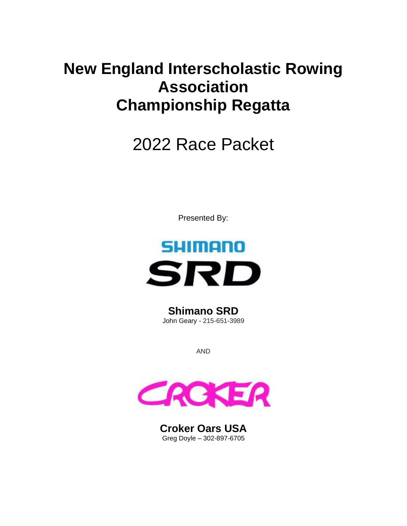## **New England Interscholastic Rowing Association Championship Regatta**

# 2022 Race Packet

Presented By:



**Shimano SRD** John Geary - 215-651-3989

AND



**Croker Oars USA** Greg Doyle – 302-897-6705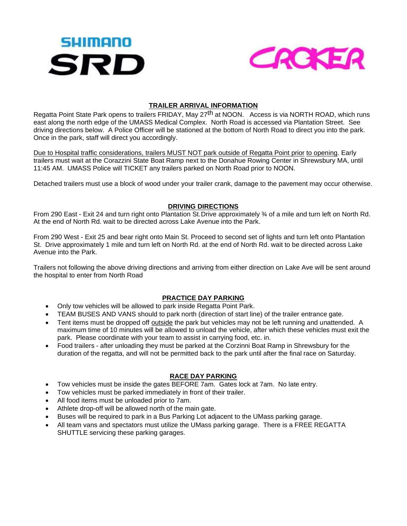



## **TRAILER ARRIVAL INFORMATION**

Regatta Point State Park opens to trailers FRIDAY, May 27<sup>th</sup> at NOON. Access is via NORTH ROAD, which runs east along the north edge of the UMASS Medical Complex. North Road is accessed via Plantation Street. See driving directions below. A Police Officer will be stationed at the bottom of North Road to direct you into the park. Once in the park, staff will direct you accordingly.

Due to Hospital traffic considerations, trailers MUST NOT park outside of Regatta Point prior to opening. Early trailers must wait at the Corazzini State Boat Ramp next to the Donahue Rowing Center in Shrewsbury MA, until 11:45 AM. UMASS Police will TICKET any trailers parked on North Road prior to NOON.

Detached trailers must use a block of wood under your trailer crank, damage to the pavement may occur otherwise.

## **DRIVING DIRECTIONS**

From 290 East - Exit 24 and turn right onto Plantation St.Drive approximately ¾ of a mile and turn left on North Rd. At the end of North Rd. wait to be directed across Lake Avenue into the Park.

From 290 West - Exit 25 and bear right onto Main St. Proceed to second set of lights and turn left onto Plantation St. Drive approximately 1 mile and turn left on North Rd. at the end of North Rd. wait to be directed across Lake Avenue into the Park.

Trailers not following the above driving directions and arriving from either direction on Lake Ave will be sent around the hospital to enter from North Road

## **PRACTICE DAY PARKING**

- Only tow vehicles will be allowed to park inside Regatta Point Park.
- TEAM BUSES AND VANS should to park north (direction of start line) of the trailer entrance gate.
- Tent items must be dropped off outside the park but vehicles may not be left running and unattended. A maximum time of 10 minutes will be allowed to unload the vehicle, after which these vehicles must exit the park. Please coordinate with your team to assist in carrying food, etc. in.
- Food trailers after unloading they must be parked at the Corzinni Boat Ramp in Shrewsbury for the duration of the regatta, and will not be permitted back to the park until after the final race on Saturday.

## **RACE DAY PARKING**

- Tow vehicles must be inside the gates BEFORE 7am. Gates lock at 7am. No late entry.
- Tow vehicles must be parked immediately in front of their trailer.
- All food items must be unloaded prior to 7am.
- Athlete drop-off will be allowed north of the main gate.
- Buses will be required to park in a Bus Parking Lot adjacent to the UMass parking garage.
- All team vans and spectators must utilize the UMass parking garage. There is a FREE REGATTA SHUTTLE servicing these parking garages.